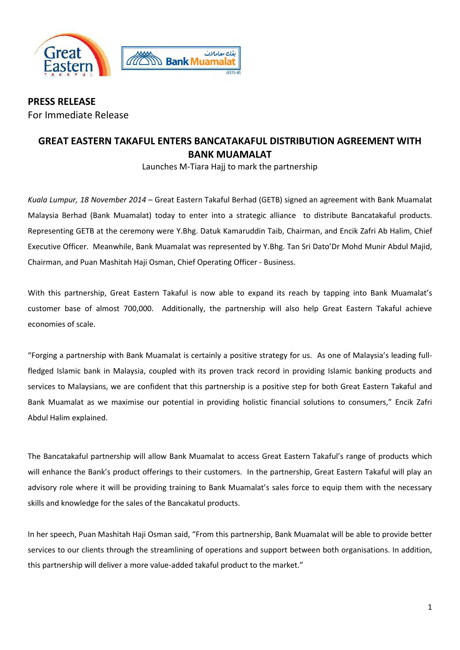

**PRESS RELEASE**  For Immediate Release

## **GREAT EASTERN TAKAFUL ENTERS BANCATAKAFUL DISTRIBUTION AGREEMENT WITH BANK MUAMALAT**

Launches M-Tiara Hajj to mark the partnership

*Kuala Lumpur, 18 November 2014* – Great Eastern Takaful Berhad (GETB) signed an agreement with Bank Muamalat Malaysia Berhad (Bank Muamalat) today to enter into a strategic alliance to distribute Bancatakaful products. Representing GETB at the ceremony were Y.Bhg. Datuk Kamaruddin Taib, Chairman, and Encik Zafri Ab Halim, Chief Executive Officer. Meanwhile, Bank Muamalat was represented by Y.Bhg. Tan Sri Dato'Dr Mohd Munir Abdul Majid, Chairman, and Puan Mashitah Haji Osman, Chief Operating Officer - Business.

With this partnership, Great Eastern Takaful is now able to expand its reach by tapping into Bank Muamalat's customer base of almost 700,000. Additionally, the partnership will also help Great Eastern Takaful achieve economies of scale.

"Forging a partnership with Bank Muamalat is certainly a positive strategy for us. As one of Malaysia's leading fullfledged Islamic bank in Malaysia, coupled with its proven track record in providing Islamic banking products and services to Malaysians, we are confident that this partnership is a positive step for both Great Eastern Takaful and Bank Muamalat as we maximise our potential in providing holistic financial solutions to consumers," Encik Zafri Abdul Halim explained.

The Bancatakaful partnership will allow Bank Muamalat to access Great Eastern Takaful's range of products which will enhance the Bank's product offerings to their customers. In the partnership, Great Eastern Takaful will play an advisory role where it will be providing training to Bank Muamalat's sales force to equip them with the necessary skills and knowledge for the sales of the Bancakatul products.

In her speech, Puan Mashitah Haji Osman said, "From this partnership, Bank Muamalat will be able to provide better services to our clients through the streamlining of operations and support between both organisations. In addition, this partnership will deliver a more value-added takaful product to the market."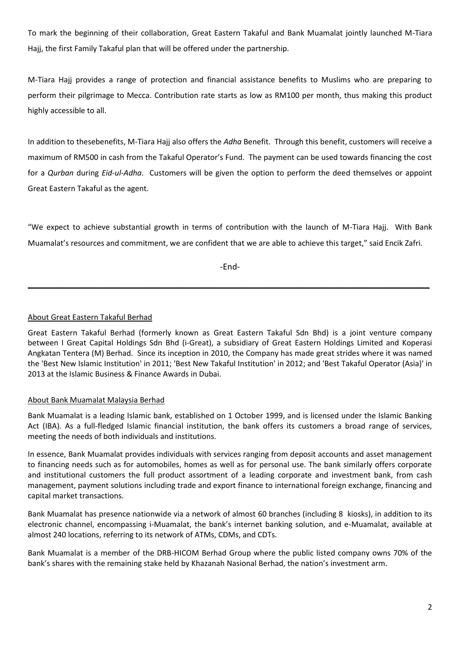To mark the beginning of their collaboration, Great Eastern Takaful and Bank Muamalat jointly launched M-Tiara Hajj, the first Family Takaful plan that will be offered under the partnership.

M-Tiara Hajj provides a range of protection and financial assistance benefits to Muslims who are preparing to perform their pilgrimage to Mecca. Contribution rate starts as low as RM100 per month, thus making this product highly accessible to all.

In addition to thesebenefits, M-Tiara Hajj also offers the *Adha* Benefit. Through this benefit, customers will receive a maximum of RM500 in cash from the Takaful Operator's Fund. The payment can be used towards financing the cost for a *Qurban* during *Eid-ul-Adha*. Customers will be given the option to perform the deed themselves or appoint Great Eastern Takaful as the agent.

"We expect to achieve substantial growth in terms of contribution with the launch of M-Tiara Hajj. With Bank Muamalat's resources and commitment, we are confident that we are able to achieve this target," said Encik Zafri.

-End-

\_\_\_\_\_\_\_\_\_\_\_\_\_\_\_\_\_\_\_\_\_\_\_\_\_\_\_\_\_\_\_\_\_\_\_\_\_\_\_\_\_\_\_\_\_\_\_\_\_\_\_\_\_\_\_\_\_\_\_\_\_\_\_\_\_\_\_\_\_\_\_\_\_\_\_\_\_\_\_\_\_\_\_\_\_\_\_

## About Great Eastern Takaful Berhad

Great Eastern Takaful Berhad (formerly known as Great Eastern Takaful Sdn Bhd) is a joint venture company between I Great Capital Holdings Sdn Bhd (i-Great), a subsidiary of Great Eastern Holdings Limited and Koperasi Angkatan Tentera (M) Berhad. Since its inception in 2010, the Company has made great strides where it was named the 'Best New Islamic Institution' in 2011; 'Best New Takaful Institution' in 2012; and 'Best Takaful Operator (Asia)' in 2013 at the Islamic Business & Finance Awards in Dubai.

## About Bank Muamalat Malaysia Berhad

Bank Muamalat is a leading Islamic bank, established on 1 October 1999, and is licensed under the Islamic Banking Act (IBA). As a full-fledged Islamic financial institution, the bank offers its customers a broad range of services, meeting the needs of both individuals and institutions.

In essence, Bank Muamalat provides individuals with services ranging from deposit accounts and asset management to financing needs such as for automobiles, homes as well as for personal use. The bank similarly offers corporate and institutional customers the full product assortment of a leading corporate and investment bank, from cash management, payment solutions including trade and export finance to international foreign exchange, financing and capital market transactions.

Bank Muamalat has presence nationwide via a network of almost 60 branches (including 8 kiosks), in addition to its electronic channel, encompassing i-Muamalat, the bank's internet banking solution, and e-Muamalat, available at almost 240 locations, referring to its network of ATMs, CDMs, and CDTs.

Bank Muamalat is a member of the DRB-HICOM Berhad Group where the public listed company owns 70% of the bank's shares with the remaining stake held by Khazanah Nasional Berhad, the nation's investment arm.